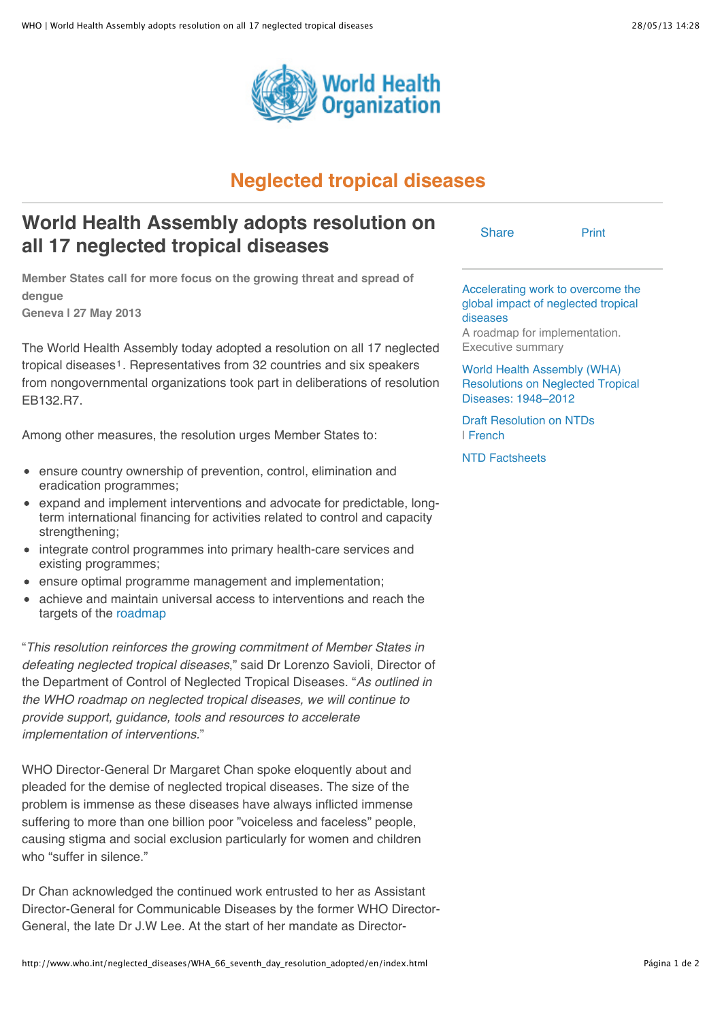

## **Neglected tropical diseases**

## **World Health Assembly adopts resolution on all 17 neglected tropical diseases**

Accelerating work to overcome the global impact of neglected tropical

[Print](http://www.who.int/neglected_diseases/WHA_66_seventh_day_resolution_adopted/en/index.html#)

diseases A roadmap for implementation. Executive summary

World Health Assembly (WHA) Resolutions on Neglected Tropical Diseases: 1948–2012

Draft Resolution on NTDs | French

NTD Factsheets

**Share** 

**Member States call for more focus on the growing threat and spread of dengue Geneva | 27 May 2013**

The World Health Assembly today adopted a resolution on all 17 neglected tropical diseases<sup>1</sup>. Representatives from 32 countries and six speakers from nongovernmental organizations took part in deliberations of resolution EB132.R7.

Among other measures, the resolution urges Member States to:

- ensure country ownership of prevention, control, elimination and eradication programmes;
- expand and implement interventions and advocate for predictable, longterm international financing for activities related to control and capacity strengthening;
- integrate control programmes into primary health-care services and existing programmes;
- ensure optimal programme management and implementation;
- achieve and maintain universal access to interventions and reach the targets of the roadmap

"*This resolution reinforces the growing commitment of Member States in defeating neglected tropical diseases*," said Dr Lorenzo Savioli, Director of the Department of Control of Neglected Tropical Diseases. "*As outlined in the WHO roadmap on neglected tropical diseases, we will continue to provide support, guidance, tools and resources to accelerate implementation of interventions.*"

WHO Director-General Dr Margaret Chan spoke eloquently about and pleaded for the demise of neglected tropical diseases. The size of the problem is immense as these diseases have always inflicted immense suffering to more than one billion poor "voiceless and faceless" people, causing stigma and social exclusion particularly for women and children who "suffer in silence."

Dr Chan acknowledged the continued work entrusted to her as Assistant Director-General for Communicable Diseases by the former WHO Director-General, the late Dr J.W Lee. At the start of her mandate as Director